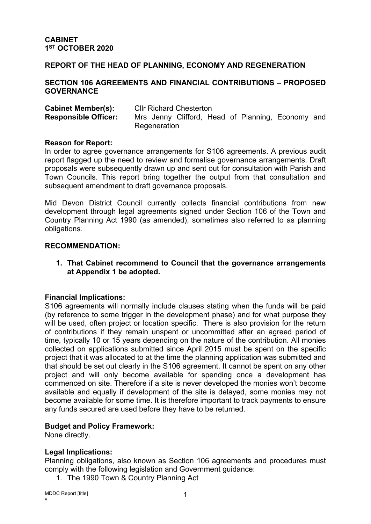# **REPORT OF THE HEAD OF PLANNING, ECONOMY AND REGENERATION**

### **SECTION 106 AGREEMENTS AND FINANCIAL CONTRIBUTIONS – PROPOSED GOVERNANCE**

| <b>Cabinet Member(s):</b>   | <b>CIIr Richard Chesterton</b> |  |  |  |  |  |                                                   |  |
|-----------------------------|--------------------------------|--|--|--|--|--|---------------------------------------------------|--|
| <b>Responsible Officer:</b> |                                |  |  |  |  |  | Mrs Jenny Clifford, Head of Planning, Economy and |  |
|                             | Regeneration                   |  |  |  |  |  |                                                   |  |

### **Reason for Report:**

In order to agree governance arrangements for S106 agreements. A previous audit report flagged up the need to review and formalise governance arrangements. Draft proposals were subsequently drawn up and sent out for consultation with Parish and Town Councils. This report bring together the output from that consultation and subsequent amendment to draft governance proposals.

Mid Devon District Council currently collects financial contributions from new development through legal agreements signed under Section 106 of the Town and Country Planning Act 1990 (as amended), sometimes also referred to as planning obligations.

### **RECOMMENDATION:**

**1. That Cabinet recommend to Council that the governance arrangements at Appendix 1 be adopted.**

# **Financial Implications:**

S106 agreements will normally include clauses stating when the funds will be paid (by reference to some trigger in the development phase) and for what purpose they will be used, often project or location specific. There is also provision for the return of contributions if they remain unspent or uncommitted after an agreed period of time, typically 10 or 15 years depending on the nature of the contribution. All monies collected on applications submitted since April 2015 must be spent on the specific project that it was allocated to at the time the planning application was submitted and that should be set out clearly in the S106 agreement. It cannot be spent on any other project and will only become available for spending once a development has commenced on site. Therefore if a site is never developed the monies won't become available and equally if development of the site is delayed, some monies may not become available for some time. It is therefore important to track payments to ensure any funds secured are used before they have to be returned.

# **Budget and Policy Framework:**

None directly.

# **Legal Implications:**

Planning obligations, also known as Section 106 agreements and procedures must comply with the following legislation and Government guidance:

1. The 1990 Town & Country Planning Act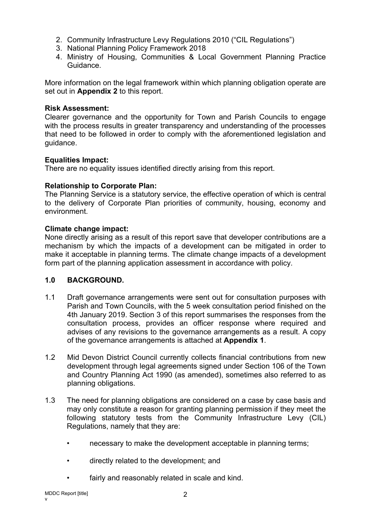- 2. Community Infrastructure Levy Regulations 2010 ("CIL Regulations")
- 3. National Planning Policy Framework 2018
- 4. Ministry of Housing, Communities & Local Government Planning Practice Guidance.

More information on the legal framework within which planning obligation operate are set out in **Appendix 2** to this report.

### **Risk Assessment:**

Clearer governance and the opportunity for Town and Parish Councils to engage with the process results in greater transparency and understanding of the processes that need to be followed in order to comply with the aforementioned legislation and guidance.

### **Equalities Impact:**

There are no equality issues identified directly arising from this report.

### **Relationship to Corporate Plan:**

The Planning Service is a statutory service, the effective operation of which is central to the delivery of Corporate Plan priorities of community, housing, economy and environment.

### **Climate change impact:**

None directly arising as a result of this report save that developer contributions are a mechanism by which the impacts of a development can be mitigated in order to make it acceptable in planning terms. The climate change impacts of a development form part of the planning application assessment in accordance with policy.

# **1.0 BACKGROUND.**

- 1.1 Draft governance arrangements were sent out for consultation purposes with Parish and Town Councils, with the 5 week consultation period finished on the 4th January 2019. Section 3 of this report summarises the responses from the consultation process, provides an officer response where required and advises of any revisions to the governance arrangements as a result. A copy of the governance arrangements is attached at **Appendix 1**.
- 1.2 Mid Devon District Council currently collects financial contributions from new development through legal agreements signed under Section 106 of the Town and Country Planning Act 1990 (as amended), sometimes also referred to as planning obligations.
- 1.3 The need for planning obligations are considered on a case by case basis and may only constitute a reason for granting planning permission if they meet the following statutory tests from the Community Infrastructure Levy (CIL) Regulations, namely that they are:
	- necessary to make the development acceptable in planning terms;
	- directly related to the development; and
	- fairly and reasonably related in scale and kind.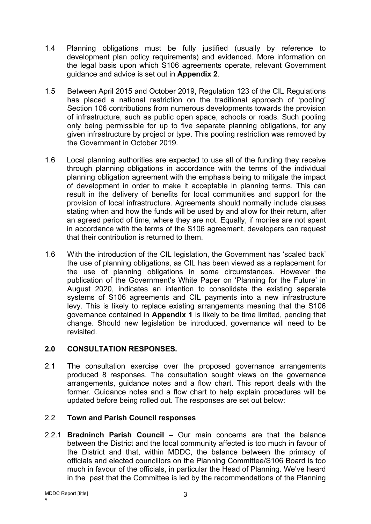- 1.4 Planning obligations must be fully justified (usually by reference to development plan policy requirements) and evidenced. More information on the legal basis upon which S106 agreements operate, relevant Government guidance and advice is set out in **Appendix 2**.
- 1.5 Between April 2015 and October 2019, Regulation 123 of the CIL Regulations has placed a national restriction on the traditional approach of 'pooling' Section 106 contributions from numerous developments towards the provision of infrastructure, such as public open space, schools or roads. Such pooling only being permissible for up to five separate planning obligations, for any given infrastructure by project or type. This pooling restriction was removed by the Government in October 2019.
- 1.6 Local planning authorities are expected to use all of the funding they receive through planning obligations in accordance with the terms of the individual planning obligation agreement with the emphasis being to mitigate the impact of development in order to make it acceptable in planning terms. This can result in the delivery of benefits for local communities and support for the provision of local infrastructure. Agreements should normally include clauses stating when and how the funds will be used by and allow for their return, after an agreed period of time, where they are not. Equally, if monies are not spent in accordance with the terms of the S106 agreement, developers can request that their contribution is returned to them.
- 1.6 With the introduction of the CIL legislation, the Government has 'scaled back' the use of planning obligations, as CIL has been viewed as a replacement for the use of planning obligations in some circumstances. However the publication of the Government's White Paper on 'Planning for the Future' in August 2020, indicates an intention to consolidate the existing separate systems of S106 agreements and CIL payments into a new infrastructure levy. This is likely to replace existing arrangements meaning that the S106 governance contained in **Appendix 1** is likely to be time limited, pending that change. Should new legislation be introduced, governance will need to be revisited.

# **2.0 CONSULTATION RESPONSES.**

2.1 The consultation exercise over the proposed governance arrangements produced 8 responses. The consultation sought views on the governance arrangements, guidance notes and a flow chart. This report deals with the former. Guidance notes and a flow chart to help explain procedures will be updated before being rolled out. The responses are set out below:

# 2.2 **Town and Parish Council responses**

2.2.1 **Bradninch Parish Council** – Our main concerns are that the balance between the District and the local community affected is too much in favour of the District and that, within MDDC, the balance between the primacy of officials and elected councillors on the Planning Committee/S106 Board is too much in favour of the officials, in particular the Head of Planning. We've heard in the past that the Committee is led by the recommendations of the Planning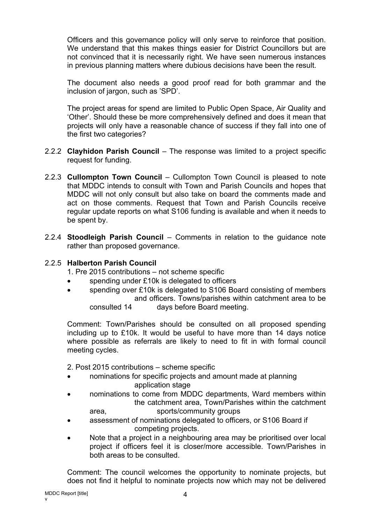Officers and this governance policy will only serve to reinforce that position. We understand that this makes things easier for District Councillors but are not convinced that it is necessarily right. We have seen numerous instances in previous planning matters where dubious decisions have been the result.

The document also needs a good proof read for both grammar and the inclusion of jargon, such as 'SPD'.

The project areas for spend are limited to Public Open Space, Air Quality and 'Other'. Should these be more comprehensively defined and does it mean that projects will only have a reasonable chance of success if they fall into one of the first two categories?

- 2.2.2 **Clayhidon Parish Council** The response was limited to a project specific request for funding.
- 2.2.3 **Cullompton Town Council** Cullompton Town Council is pleased to note that MDDC intends to consult with Town and Parish Councils and hopes that MDDC will not only consult but also take on board the comments made and act on those comments. Request that Town and Parish Councils receive regular update reports on what S106 funding is available and when it needs to be spent by.
- 2.2.4 **Stoodleigh Parish Council** Comments in relation to the guidance note rather than proposed governance.

# 2.2.5 **Halberton Parish Council**

1. Pre 2015 contributions – not scheme specific

- spending under £10k is delegated to officers
- spending over £10k is delegated to S106 Board consisting of members and officers. Towns/parishes within catchment area to be consulted 14 days before Board meeting.

Comment: Town/Parishes should be consulted on all proposed spending including up to £10k. It would be useful to have more than 14 days notice where possible as referrals are likely to need to fit in with formal council meeting cycles.

2. Post 2015 contributions – scheme specific

- nominations for specific projects and amount made at planning application stage
- nominations to come from MDDC departments, Ward members within the catchment area, Town/Parishes within the catchment area, sports/community groups
- assessment of nominations delegated to officers, or S106 Board if competing projects.
- Note that a project in a neighbouring area may be prioritised over local project if officers feel it is closer/more accessible. Town/Parishes in both areas to be consulted.

Comment: The council welcomes the opportunity to nominate projects, but does not find it helpful to nominate projects now which may not be delivered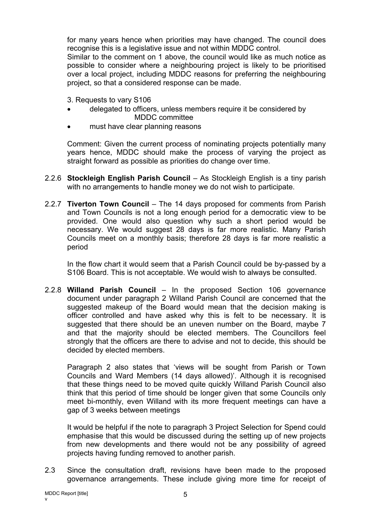for many years hence when priorities may have changed. The council does recognise this is a legislative issue and not within MDDC control.

Similar to the comment on 1 above, the council would like as much notice as possible to consider where a neighbouring project is likely to be prioritised over a local project, including MDDC reasons for preferring the neighbouring project, so that a considered response can be made.

3. Requests to vary S106

- delegated to officers, unless members require it be considered by MDDC committee
- must have clear planning reasons

Comment: Given the current process of nominating projects potentially many years hence, MDDC should make the process of varying the project as straight forward as possible as priorities do change over time.

- 2.2.6 **Stockleigh English Parish Council** As Stockleigh English is a tiny parish with no arrangements to handle money we do not wish to participate.
- 2.2.7 **Tiverton Town Council** The 14 days proposed for comments from Parish and Town Councils is not a long enough period for a democratic view to be provided. One would also question why such a short period would be necessary. We would suggest 28 days is far more realistic. Many Parish Councils meet on a monthly basis; therefore 28 days is far more realistic a period

In the flow chart it would seem that a Parish Council could be by-passed by a S106 Board. This is not acceptable. We would wish to always be consulted.

2.2.8 **Willand Parish Council** – In the proposed Section 106 governance document under paragraph 2 Willand Parish Council are concerned that the suggested makeup of the Board would mean that the decision making is officer controlled and have asked why this is felt to be necessary. It is suggested that there should be an uneven number on the Board, maybe 7 and that the majority should be elected members. The Councillors feel strongly that the officers are there to advise and not to decide, this should be decided by elected members.

Paragraph 2 also states that 'views will be sought from Parish or Town Councils and Ward Members (14 days allowed)'. Although it is recognised that these things need to be moved quite quickly Willand Parish Council also think that this period of time should be longer given that some Councils only meet bi-monthly, even Willand with its more frequent meetings can have a gap of 3 weeks between meetings

It would be helpful if the note to paragraph 3 Project Selection for Spend could emphasise that this would be discussed during the setting up of new projects from new developments and there would not be any possibility of agreed projects having funding removed to another parish.

2.3 Since the consultation draft, revisions have been made to the proposed governance arrangements. These include giving more time for receipt of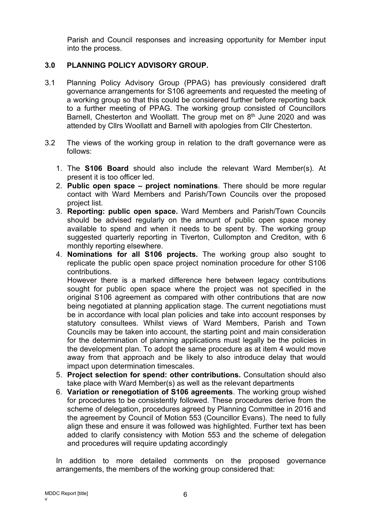Parish and Council responses and increasing opportunity for Member input into the process.

# **3.0 PLANNING POLICY ADVISORY GROUP.**

- 3.1 Planning Policy Advisory Group (PPAG) has previously considered draft governance arrangements for S106 agreements and requested the meeting of a working group so that this could be considered further before reporting back to a further meeting of PPAG. The working group consisted of Councillors Barnell, Chesterton and Woollatt. The group met on 8<sup>th</sup> June 2020 and was attended by Cllrs Woollatt and Barnell with apologies from Cllr Chesterton.
- 3.2 The views of the working group in relation to the draft governance were as follows:
	- 1. The **S106 Board** should also include the relevant Ward Member(s). At present it is too officer led.
	- 2. **Public open space – project nominations**. There should be more regular contact with Ward Members and Parish/Town Councils over the proposed project list.
	- 3. **Reporting: public open space.** Ward Members and Parish/Town Councils should be advised regularly on the amount of public open space money available to spend and when it needs to be spent by. The working group suggested quarterly reporting in Tiverton, Cullompton and Crediton, with 6 monthly reporting elsewhere.
	- 4. **Nominations for all S106 projects.** The working group also sought to replicate the public open space project nomination procedure for other S106 contributions.

However there is a marked difference here between legacy contributions sought for public open space where the project was not specified in the original S106 agreement as compared with other contributions that are now being negotiated at planning application stage. The current negotiations must be in accordance with local plan policies and take into account responses by statutory consultees. Whilst views of Ward Members, Parish and Town Councils may be taken into account, the starting point and main consideration for the determination of planning applications must legally be the policies in the development plan. To adopt the same procedure as at item 4 would move away from that approach and be likely to also introduce delay that would impact upon determination timescales.

- 5. **Project selection for spend: other contributions.** Consultation should also take place with Ward Member(s) as well as the relevant departments
- 6. **Variation or renegotiation of S106 agreements**. The working group wished for procedures to be consistently followed. These procedures derive from the scheme of delegation, procedures agreed by Planning Committee in 2016 and the agreement by Council of Motion 553 (Councillor Evans). The need to fully align these and ensure it was followed was highlighted. Further text has been added to clarify consistency with Motion 553 and the scheme of delegation and procedures will require updating accordingly

In addition to more detailed comments on the proposed governance arrangements, the members of the working group considered that: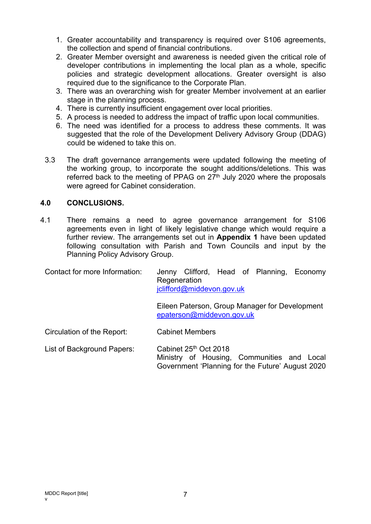- 1. Greater accountability and transparency is required over S106 agreements, the collection and spend of financial contributions.
- 2. Greater Member oversight and awareness is needed given the critical role of developer contributions in implementing the local plan as a whole, specific policies and strategic development allocations. Greater oversight is also required due to the significance to the Corporate Plan.
- 3. There was an overarching wish for greater Member involvement at an earlier stage in the planning process.
- 4. There is currently insufficient engagement over local priorities.
- 5. A process is needed to address the impact of traffic upon local communities.
- 6. The need was identified for a process to address these comments. It was suggested that the role of the Development Delivery Advisory Group (DDAG) could be widened to take this on.
- 3.3 The draft governance arrangements were updated following the meeting of the working group, to incorporate the sought additions/deletions. This was referred back to the meeting of PPAG on 27<sup>th</sup> July 2020 where the proposals were agreed for Cabinet consideration.

# **4.0 CONCLUSIONS.**

4.1 There remains a need to agree governance arrangement for S106 agreements even in light of likely legislative change which would require a further review. The arrangements set out in **Appendix 1** have been updated following consultation with Parish and Town Councils and input by the Planning Policy Advisory Group.

Contact for more Information: Jenny Clifford, Head of Planning, Economy Regeneration [jclifford@middevon.gov.uk](mailto:jclifford@middevon.gov.uk)

> Eileen Paterson, Group Manager for Development [epaterson@middevon.gov.uk](mailto:epaterson@middevon.gov.uk)

Circulation of the Report: Cabinet Members

List of Background Papers: Cabinet 25th Oct 2018 Ministry of Housing, Communities and Local Government 'Planning for the Future' August 2020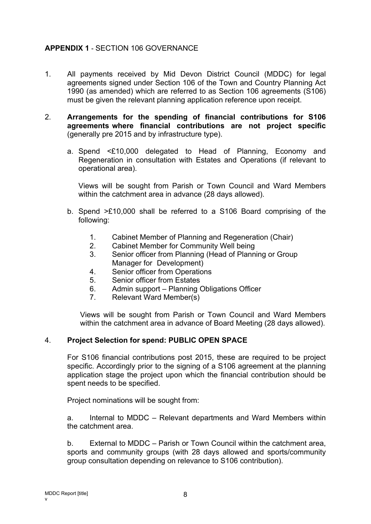# **APPENDIX 1** - SECTION 106 GOVERNANCE

- 1. All payments received by Mid Devon District Council (MDDC) for legal agreements signed under Section 106 of the Town and Country Planning Act 1990 (as amended) which are referred to as Section 106 agreements (S106) must be given the relevant planning application reference upon receipt.
- 2. **Arrangements for the spending of financial contributions for S106 agreements where financial contributions are not project specific** (generally pre 2015 and by infrastructure type).
	- a. Spend <£10,000 delegated to Head of Planning, Economy and Regeneration in consultation with Estates and Operations (if relevant to operational area).

Views will be sought from Parish or Town Council and Ward Members within the catchment area in advance (28 days allowed).

- b. Spend >£10,000 shall be referred to a S106 Board comprising of the following:
	- 1. Cabinet Member of Planning and Regeneration (Chair)
	- 2. Cabinet Member for Community Well being
	- 3. Senior officer from Planning (Head of Planning or Group Manager for Development)
	- 4. Senior officer from Operations
	- 5. Senior officer from Estates
	- 6. Admin support Planning Obligations Officer
	- 7. Relevant Ward Member(s)

Views will be sought from Parish or Town Council and Ward Members within the catchment area in advance of Board Meeting (28 days allowed).

# 4. **Project Selection for spend: PUBLIC OPEN SPACE**

For S106 financial contributions post 2015, these are required to be project specific. Accordingly prior to the signing of a S106 agreement at the planning application stage the project upon which the financial contribution should be spent needs to be specified.

Project nominations will be sought from:

a. Internal to MDDC – Relevant departments and Ward Members within the catchment area.

b. External to MDDC – Parish or Town Council within the catchment area, sports and community groups (with 28 days allowed and sports/community group consultation depending on relevance to S106 contribution).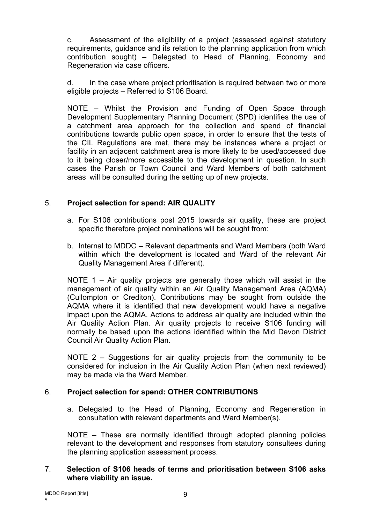c. Assessment of the eligibility of a project (assessed against statutory requirements, guidance and its relation to the planning application from which contribution sought) – Delegated to Head of Planning, Economy and Regeneration via case officers.

d. In the case where project prioritisation is required between two or more eligible projects – Referred to S106 Board.

NOTE – Whilst the Provision and Funding of Open Space through Development Supplementary Planning Document (SPD) identifies the use of a catchment area approach for the collection and spend of financial contributions towards public open space, in order to ensure that the tests of the CIL Regulations are met, there may be instances where a project or facility in an adjacent catchment area is more likely to be used/accessed due to it being closer/more accessible to the development in question. In such cases the Parish or Town Council and Ward Members of both catchment areas will be consulted during the setting up of new projects.

# 5. **Project selection for spend: AIR QUALITY**

- a. For S106 contributions post 2015 towards air quality, these are project specific therefore project nominations will be sought from:
- b. Internal to MDDC Relevant departments and Ward Members (both Ward within which the development is located and Ward of the relevant Air Quality Management Area if different).

NOTE 1 – Air quality projects are generally those which will assist in the management of air quality within an Air Quality Management Area (AQMA) (Cullompton or Crediton). Contributions may be sought from outside the AQMA where it is identified that new development would have a negative impact upon the AQMA. Actions to address air quality are included within the Air Quality Action Plan. Air quality projects to receive S106 funding will normally be based upon the actions identified within the Mid Devon District Council Air Quality Action Plan.

NOTE 2 – Suggestions for air quality projects from the community to be considered for inclusion in the Air Quality Action Plan (when next reviewed) may be made via the Ward Member.

# 6. **Project selection for spend: OTHER CONTRIBUTIONS**

a. Delegated to the Head of Planning, Economy and Regeneration in consultation with relevant departments and Ward Member(s).

NOTE – These are normally identified through adopted planning policies relevant to the development and responses from statutory consultees during the planning application assessment process.

# 7. **Selection of S106 heads of terms and prioritisation between S106 asks where viability an issue.**